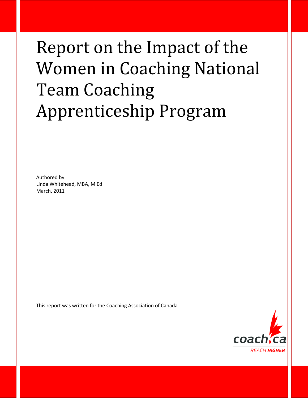# Report on the Impact of the Women in Coaching National Team Coaching Apprenticeship Program

Authored by: Linda Whitehead, MBA, M Ed March, 2011

This report was written for the Coaching Association of Canada

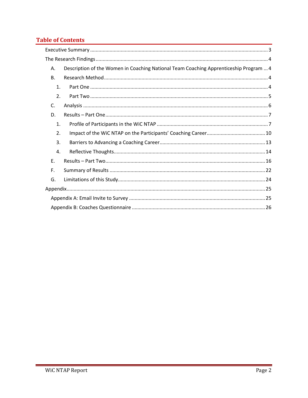### **Table of Contents**

| А. | Description of the Women in Coaching National Team Coaching Apprenticeship Program  4 |
|----|---------------------------------------------------------------------------------------|
| В. |                                                                                       |
| 1. |                                                                                       |
| 2. |                                                                                       |
| C. |                                                                                       |
| D. |                                                                                       |
| 1. |                                                                                       |
| 2. |                                                                                       |
| 3. |                                                                                       |
| 4. |                                                                                       |
| F. |                                                                                       |
| F. |                                                                                       |
| G. |                                                                                       |
|    |                                                                                       |
|    |                                                                                       |
|    |                                                                                       |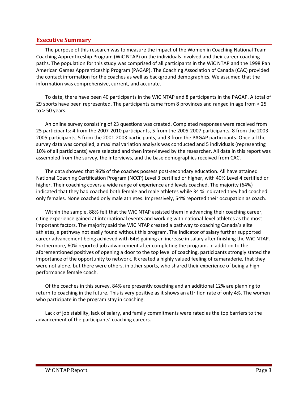#### <span id="page-2-0"></span>**Executive Summary**

The purpose of this research was to measure the impact of the Women in Coaching National Team Coaching Apprenticeship Program (WiC NTAP) on the individuals involved and their career coaching paths. The population for this study was comprised of all participants in the WiC NTAP and the 1998 Pan American Games Apprenticeship Program (PAGAP). The Coaching Association of Canada (CAC) provided the contact information for the coaches as well as background demographics. We assumed that the information was comprehensive, current, and accurate.

To date, there have been 40 participants in the WiC NTAP and 8 participants in the PAGAP. A total of 29 sports have been represented. The participants came from 8 provinces and ranged in age from < 25  $to$  > 50 years.

An online survey consisting of 23 questions was created. Completed responses were received from 25 participants: 4 from the 2007-2010 participants, 5 from the 2005-2007 participants, 8 from the 2003- 2005 participants, 5 from the 2001-2003 participants, and 3 from the PAGAP participants. Once all the survey data was compiled, a maximal variation analysis was conducted and 5 individuals (representing 10% of all participants) were selected and then interviewed by the researcher. All data in this report was assembled from the survey, the interviews, and the base demographics received from CAC.

The data showed that 96% of the coaches possess post-secondary education. All have attained National Coaching Certification Program (NCCP) Level 3 certified or higher, with 40% Level 4 certified or higher. Their coaching covers a wide range of experience and levels coached. The majority (64%) indicated that they had coached both female and male athletes while 34 % indicated they had coached only females. None coached only male athletes. Impressively, 54% reported their occupation as coach.

Within the sample, 88% felt that the WiC NTAP assisted them in advancing their coaching career, citing experience gained at international events and working with national-level athletes as the most important factors. The majority said the WiC NTAP created a pathway to coaching Canada's elite athletes, a pathway not easily found without this program. The indicator of salary further supported career advancement being achieved with 64% gaining an increase in salary after finishing the WiC NTAP. Furthermore, 60% reported job advancement after completing the program. In addition to the aforementioned positives of opening a door to the top level of coaching, participants strongly stated the importance of the opportunity to network. It created a highly valued feeling of camaraderie, that they were not alone, but there were others, in other sports, who shared their experience of being a high performance female coach.

Of the coaches in this survey, 84% are presently coaching and an additional 12% are planning to return to coaching in the future. This is very positive as it shows an attrition rate of only 4%. The women who participate in the program stay in coaching.

Lack of job stability, lack of salary, and family commitments were rated as the top barriers to the advancement of the participants' coaching careers.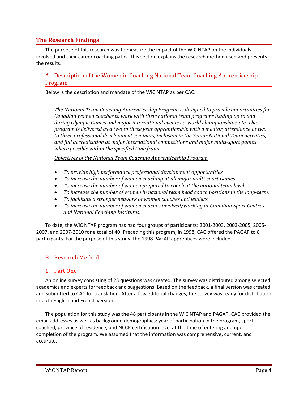#### <span id="page-3-0"></span>**The Research Findings**

The purpose of this research was to measure the impact of the WiC NTAP on the individuals involved and their career coaching paths. This section explains the research method used and presents the results.

#### <span id="page-3-1"></span>A. Description of the Women in Coaching National Team Coaching Apprenticeship Program

Below is the description and mandate of the WiC NTAP as per CAC.

*The National Team Coaching Apprenticeship Program is designed to provide opportunities for Canadian women coaches to work with their national team programs leading up to and during Olympic Games and major international events i.e. world championships, etc. The program is delivered as a two to three year apprenticeship with a mentor, attendance at two to three professional development seminars, inclusion in the Senior National Team activities, and full accreditation at major international competitions and major multi-sport games where possible within the specified time frame.*

*Objectives of the National Team Coaching Apprenticeship Program*

- *To provide high performance professional development opportunities.*
- *To increase the number of women coaching at all major multi-sport Games.*
- *To increase the number of women prepared to coach at the national team level.*
- *To increase the number of women in national team head coach positions in the long-term.*
- *To facilitate a stronger network of women coaches and leaders.*
- *To increase the number of women coaches involved/working at Canadian Sport Centres and National Coaching Institutes.*

To date, the WiC NTAP program has had four groups of participants: 2001-2003, 2003-2005, 2005- 2007, and 2007-2010 for a total of 40. Preceding this program, in 1998, CAC offered the PAGAP to 8 participants. For the purpose of this study, the 1998 PAGAP apprentices were included.

#### <span id="page-3-2"></span>B. Research Method

#### <span id="page-3-3"></span>1. Part One

An online survey consisting of 23 questions was created. The survey was distributed among selected academics and experts for feedback and suggestions. Based on the feedback, a final version was created and submitted to CAC for translation. After a few editorial changes, the survey was ready for distribution in both English and French versions.

The population for this study was the 48 participants in the WiC NTAP and PAGAP. CAC provided the email addresses as well as background demographics: year of participation in the program, sport coached, province of residence, and NCCP certification level at the time of entering and upon completion of the program. We assumed that the information was comprehensive, current, and accurate.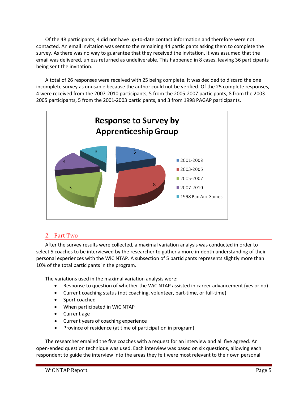Of the 48 participants, 4 did not have up-to-date contact information and therefore were not contacted. An email invitation was sent to the remaining 44 participants asking them to complete the survey. As there was no way to guarantee that they received the invitation, it was assumed that the email was delivered, unless returned as undeliverable. This happened in 8 cases, leaving 36 participants being sent the invitation.

A total of 26 responses were received with 25 being complete. It was decided to discard the one incomplete survey as unusable because the author could not be verified. Of the 25 complete responses, 4 were received from the 2007-2010 participants, 5 from the 2005-2007 participants, 8 from the 2003- 2005 participants, 5 from the 2001-2003 participants, and 3 from 1998 PAGAP participants.



#### <span id="page-4-0"></span>2. Part Two

After the survey results were collected, a maximal variation analysis was conducted in order to select 5 coaches to be interviewed by the researcher to gather a more in-depth understanding of their personal experiences with the WiC NTAP. A subsection of 5 participants represents slightly more than 10% of the total participants in the program.

The variations used in the maximal variation analysis were:

- Response to question of whether the WiC NTAP assisted in career advancement (yes or no)
- Current coaching status (not coaching, volunteer, part-time, or full-time)
- Sport coached
- When participated in WiC NTAP
- Current age
- Current years of coaching experience
- Province of residence (at time of participation in program)

The researcher emailed the five coaches with a request for an interview and all five agreed. An open-ended question technique was used. Each interview was based on six questions, allowing each respondent to guide the interview into the areas they felt were most relevant to their own personal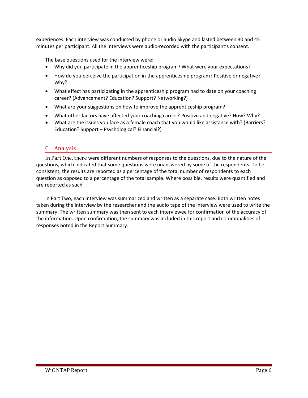experiences. Each interview was conducted by phone or audio Skype and lasted between 30 and 45 minutes per participant. All the interviews were audio-recorded with the participant's consent.

The base questions used for the interview were:

- Why did you participate in the apprenticeship program? What were your expectations?
- How do you perceive the participation in the apprenticeship program? Positive or negative? Why?
- What effect has participating in the apprenticeship program had to date on your coaching career? (Advancement? Education? Support? Networking?)
- What are your suggestions on how to improve the apprenticeship program?
- What other factors have affected your coaching career? Positive and negative? How? Why?
- What are the issues you face as a female coach that you would like assistance with? (Barriers? Education? Support – Psychological? Financial?)

#### <span id="page-5-0"></span>C. Analysis

In Part One, there were different numbers of responses to the questions, due to the nature of the questions, which indicated that some questions were unanswered by some of the respondents. To be consistent, the results are reported as a percentage of the total number of respondents to each question as opposed to a percentage of the total sample. Where possible, results were quantified and are reported as such.

In Part Two, each interview was summarized and written as a separate case. Both written notes taken during the interview by the researcher and the audio tape of the interview were used to write the summary. The written summary was then sent to each interviewee for confirmation of the accuracy of the information. Upon confirmation, the summary was included in this report and commonalities of responses noted in the Report Summary.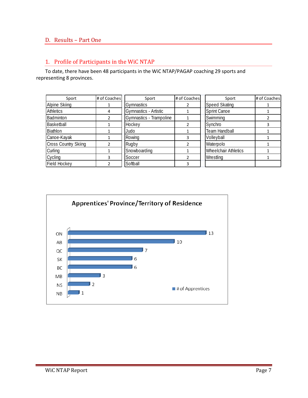### <span id="page-6-0"></span>D. Results – Part One

#### <span id="page-6-1"></span>1. Profile of Participants in the WiC NTAP

To date, there have been 48 participants in the WiC NTAP/PAGAP coaching 29 sports and representing 8 provinces.

| Sport                       | # of Coaches | Sport                   | # of Coaches | Sport                       | # of Coaches |
|-----------------------------|--------------|-------------------------|--------------|-----------------------------|--------------|
| Alpine Skiing               |              | <b>Gymnastics</b>       |              | <b>Speed Skating</b>        |              |
| <b>Athletics</b>            | 4            | Gymnastics - Artistic   |              | <b>Sprint Canoe</b>         |              |
| Badminton                   |              | Gymnastics - Trampoline |              | Swimming                    |              |
| Basketball                  |              | Hockey                  |              | Synchro                     |              |
| Biathlon                    |              | Judo                    |              | Team Handball               |              |
| Canoe-Kayak                 |              | Rowing                  |              | Volleyball                  |              |
| <b>Cross Country Skiing</b> |              | Rugby                   |              | Waterpolo                   |              |
| Curling                     |              | Snowboarding            |              | <b>Wheelchair Athletics</b> |              |
| Cycling                     |              | Soccer                  |              | Wrestling                   |              |
| <b>Field Hockey</b>         |              | Softball                |              |                             |              |

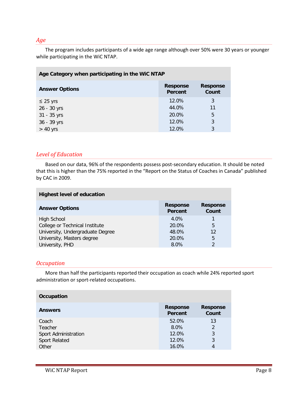#### *Age*

The program includes participants of a wide age range although over 50% were 30 years or younger while participating in the WiC NTAP.

| Age Category when participating in the WiC NTAP |                                   |                          |  |
|-------------------------------------------------|-----------------------------------|--------------------------|--|
| <b>Answer Options</b>                           | <b>Response</b><br><b>Percent</b> | <b>Response</b><br>Count |  |
| $\leq$ 25 yrs                                   | 12.0%                             | 3                        |  |
| 26 - 30 yrs                                     | 44.0%                             | 11                       |  |
| 31 - 35 yrs                                     | 20.0%                             | 5                        |  |
| 36 - 39 yrs                                     | 12.0%                             | 3                        |  |
| $> 40$ yrs                                      | 12.0%                             | 3                        |  |

#### *Level of Education*

Based on our data, 96% of the respondents possess post-secondary education. It should be noted that this is higher than the 75% reported in the "Report on the Status of Coaches in Canada" published by CAC in 2009.

| <b>Highest level of education</b> |                            |                          |  |  |
|-----------------------------------|----------------------------|--------------------------|--|--|
| <b>Answer Options</b>             | <b>Response</b><br>Percent | <b>Response</b><br>Count |  |  |
| <b>High School</b>                | $4.0\%$                    |                          |  |  |
| College or Technical Institute    | 20.0%                      | 5                        |  |  |
| University, Undergraduate Degree  | 48.0%                      | 12                       |  |  |
| University, Masters degree        | 20.0%                      | 5                        |  |  |
| University, PHD                   | 8.0%                       | $\mathfrak{D}$           |  |  |

#### *Occupation*

More than half the participants reported their occupation as coach while 24% reported sport administration or sport-related occupations.

| Occupation           |                                   |                          |  |
|----------------------|-----------------------------------|--------------------------|--|
| <b>Answers</b>       | <b>Response</b><br><b>Percent</b> | <b>Response</b><br>Count |  |
| Coach                | 52.0%                             | 13                       |  |
| Teacher              | 8.0%                              | $\overline{2}$           |  |
| Sport Administration | 12.0%                             | 3                        |  |
| Sport Related        | 12.0%                             | 3                        |  |
| Other                | 16.0%                             | 4                        |  |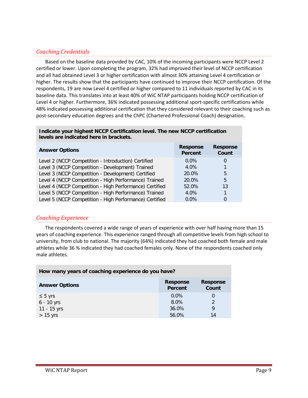#### *Coaching Credentials*

Based on the baseline data provided by CAC, 10% of the incoming participants were NCCP Level 2 certified or lower. Upon completing the program, 32% had improved their level of NCCP certification and all had obtained Level 3 or higher certification with almost 30% attaining Level 4 certification or higher. The results show that the participants have continued to improve their NCCP certification. Of the respondents, 19 are now Level 4 certified or higher compared to 11 individuals reported by CAC in its baseline data. This translates into at least 40% of WiC NTAP participants holding NCCP certification of Level 4 or higher. Furthermore, 36% indicated possessing additional sport-specific certifications while 48% indicated possessing additional certification that they considered relevant to their coaching such as post-secondary education degrees and the ChPC (Chartered Professional Coach) designation.

#### **Indicate your highest NCCP Certification level. The new NCCP certification levels are indicated here in brackets.**

| <b>Answer Options</b>                                   | <b>Response</b><br><b>Percent</b> | <b>Response</b><br>Count |
|---------------------------------------------------------|-----------------------------------|--------------------------|
| Level 2 (NCCP Competition - Introduction) Certified     | $0.0\%$                           | 0                        |
| Level 3 (NCCP Competition - Development) Trained        | 4.0%                              |                          |
| Level 3 (NCCP Competition - Development) Certified      | 20.0%                             | 5                        |
| Level 4 (NCCP Competition - High Performance) Trained   | 20.0%                             | 5                        |
| Level 4 (NCCP Competition - High Performance) Certified | 52.0%                             | 13                       |
| Level 5 (NCCP Competition - High Performance) Trained   | 4.0%                              |                          |
| Level 5 (NCCP Competition - High Performance) Certified | $0.0\%$                           | 0                        |

#### *Coaching Experience*

The respondents covered a wide range of years of experience with over half having more than 15 years of coaching experience. This experience ranged through all competitive levels from high school to university, from club to national. The majority (64%) indicated they had coached both female and male athletes while 36 % indicated they had coached females only. None of the respondents coached only male athletes.

| How many years of coaching experience do you have?                              |         |               |  |
|---------------------------------------------------------------------------------|---------|---------------|--|
| <b>Response</b><br><b>Response</b><br><b>Answer Options</b><br>Count<br>Percent |         |               |  |
| $\leq$ 5 yrs                                                                    | $0.0\%$ | $\Omega$      |  |
| $6 - 10$ yrs                                                                    | 8.0%    | $\mathcal{P}$ |  |
| 11 - 15 yrs                                                                     | 36.0%   | 9             |  |
| $> 15$ yrs                                                                      | 56.0%   | 14            |  |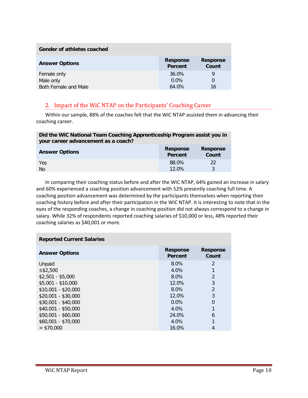| Gender of athletes coached |                            |                          |  |
|----------------------------|----------------------------|--------------------------|--|
| <b>Answer Options</b>      | <b>Response</b><br>Percent | <b>Response</b><br>Count |  |
| Female only                | 36.0%                      | 9                        |  |
| Male only                  | $0.0\%$                    | 0                        |  |
| Both Female and Male       | 64.0%                      | 16                       |  |

#### <span id="page-9-0"></span>2. Impact of the WiC NTAP on the Participants' Coaching Career

Within our sample, 88% of the coaches felt that the WiC NTAP assisted them in advancing their coaching career.

| Did the WiC National Team Coaching Apprenticeship Program assist you in<br>your career advancement as a coach? |                            |                          |  |
|----------------------------------------------------------------------------------------------------------------|----------------------------|--------------------------|--|
| <b>Answer Options</b>                                                                                          | <b>Response</b><br>Percent | <b>Response</b><br>Count |  |
| Yes                                                                                                            | 88.0%                      | 22                       |  |
| <b>No</b>                                                                                                      | $12.0\%$                   | 3                        |  |

In comparing their coaching status before and after the WiC NTAP, 64% gained an increase in salary and 60% experienced a coaching position advancement with 52% presently coaching full time. A coaching position advancement was determined by the participants themselves when reporting their coaching history before and after their participation in the WiC NTAP. It is interesting to note that in the eyes of the responding coaches, a change in coaching position did not always correspond to a change in salary. While 32% of respondents reported coaching salaries of \$10,000 or less, 48% reported their coaching salaries as \$40,001 or more.

| <b>Reported Current Salaries</b> |                            |                          |  |
|----------------------------------|----------------------------|--------------------------|--|
| <b>Answer Options</b>            | <b>Response</b><br>Percent | <b>Response</b><br>Count |  |
| Unpaid                           | 8.0%                       | 2                        |  |
| ≤ $$2,500$                       | 4.0%                       | 1                        |  |
| $$2.501 - $5.000$                | 8.0%                       | $\overline{2}$           |  |
| $$5.001 - $10.000$               | 12.0%                      | 3                        |  |
| $$10,001 - $20,000$              | 8.0%                       | $\overline{2}$           |  |
| $$20.001 - $30.000$              | 12.0%                      | 3                        |  |
| $$30,001 - $40,000$              | $0.0\%$                    | 0                        |  |
| $$40,001 - $50,000$              | 4.0%                       | 1                        |  |
| \$50,001 - \$60,000              | 24.0%                      | 6                        |  |
| \$60,001 - \$70,000              | 4.0%                       | 1                        |  |
| > \$70.000                       | 16.0%                      | 4                        |  |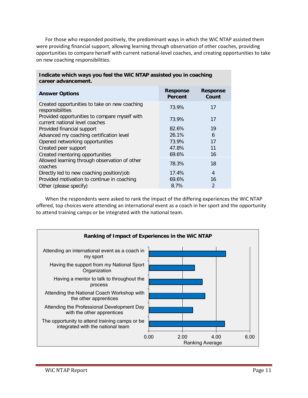For those who responded positively, the predominant ways in which the WiC NTAP assisted them were providing financial support, allowing learning through observation of other coaches, providing opportunities to compare herself with current national-level coaches, and creating opportunities to take on new coaching responsibilities.

| career advancement.                                                             |                            |                          |  |  |
|---------------------------------------------------------------------------------|----------------------------|--------------------------|--|--|
| <b>Answer Options</b>                                                           | <b>Response</b><br>Percent | <b>Response</b><br>Count |  |  |
| Created opportunities to take on new coaching<br>responsibilities               | 73.9%                      | 17                       |  |  |
| Provided opportunities to compare myself with<br>current national level coaches | 73.9%                      | 17                       |  |  |
| Provided financial support                                                      | 82.6%                      | 19                       |  |  |
| Advanced my coaching certification level                                        | 26.1%                      | 6                        |  |  |
| Opened networking opportunities                                                 | 73.9%                      | 17                       |  |  |
| Created peer support                                                            | 47.8%                      | 11                       |  |  |
| Created mentoring opportunities                                                 | 69.6%                      | 16                       |  |  |
| Allowed learning through observation of other<br>coaches                        | 78.3%                      | 18                       |  |  |
| Directly led to new coaching position/job                                       | 17.4%                      | $\overline{4}$           |  |  |
| Provided motivation to continue in coaching                                     | 69.6%                      | 16                       |  |  |
| Other (please specify)                                                          | 8.7%                       | $\overline{2}$           |  |  |

**Indicate which ways you feel the WiC NTAP assisted you in coaching career advancement.**

When the respondents were asked to rank the impact of the differing experiences the WiC NTAP offered, top choices were attending an international event as a coach in her sport and the opportunity to attend training camps or be integrated with the national team.

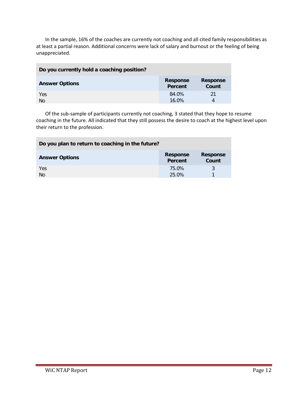In the sample, 16% of the coaches are currently not coaching and all cited family responsibilities as at least a partial reason. Additional concerns were lack of salary and burnout or the feeling of being unappreciated.

| Do you currently hold a coaching position? |                            |                          |
|--------------------------------------------|----------------------------|--------------------------|
| <b>Answer Options</b>                      | <b>Response</b><br>Percent | <b>Response</b><br>Count |
| Yes                                        | 84.0%                      | 21                       |
| N <sub>O</sub>                             | 16.0%                      | 4                        |

Of the sub-sample of participants currently not coaching, 3 stated that they hope to resume coaching in the future. All indicated that they still possess the desire to coach at the highest level upon their return to the profession.

| Do you plan to return to coaching in the future? |                            |                          |
|--------------------------------------------------|----------------------------|--------------------------|
| <b>Answer Options</b>                            | <b>Response</b><br>Percent | <b>Response</b><br>Count |
| Yes<br><b>No</b>                                 | 75.0%<br>25.0%             |                          |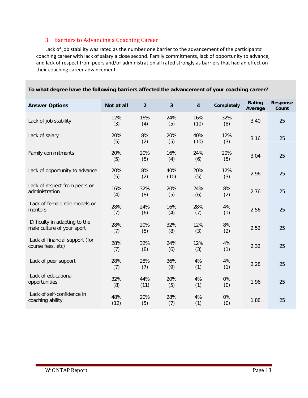#### <span id="page-12-0"></span>3. Barriers to Advancing a Coaching Career

Lack of job stability was rated as the number one barrier to the advancement of the participants' coaching career with lack of salary a close second. Family commitments, lack of opportunity to advance, and lack of respect from peers and/or administration all rated strongly as barriers that had an effect on their coaching career advancement.

| <b>Answer Options</b>                                       | Not at all  | $\overline{2}$ | 3           | 4           | Completely | Rating<br>Average | <b>Response</b><br>Count |
|-------------------------------------------------------------|-------------|----------------|-------------|-------------|------------|-------------------|--------------------------|
| Lack of job stability                                       | 12%<br>(3)  | 16%<br>(4)     | 24%<br>(5)  | 16%<br>(10) | 32%<br>(8) | 3.40              | 25                       |
| Lack of salary                                              | 20%<br>(5)  | 8%<br>(2)      | 20%<br>(5)  | 40%<br>(10) | 12%<br>(3) | 3.16              | 25                       |
| Family commitments                                          | 20%<br>(5)  | 20%<br>(5)     | 16%<br>(4)  | 24%<br>(6)  | 20%<br>(5) | 3.04              | 25                       |
| Lack of opportunity to advance                              | 20%<br>(5)  | 8%<br>(2)      | 40%<br>(10) | 20%<br>(5)  | 12%<br>(3) | 2.96              | 25                       |
| Lack of respect from peers or<br>administration             | 16%<br>(4)  | 32%<br>(8)     | 20%<br>(5)  | 24%<br>(6)  | 8%<br>(2)  | 2.76              | 25                       |
| Lack of female role models or<br>mentors                    | 28%<br>(7)  | 24%<br>(6)     | 16%<br>(4)  | 28%<br>(7)  | 4%<br>(1)  | 2.56              | 25                       |
| Difficulty in adapting to the<br>male culture of your sport | 28%<br>(7)  | 20%<br>(5)     | 32%<br>(8)  | 12%<br>(3)  | 8%<br>(2)  | 2.52              | 25                       |
| Lack of financial support (for<br>course fees, etc)         | 28%<br>(7)  | 32%<br>(8)     | 24%<br>(6)  | 12%<br>(3)  | 4%<br>(1)  | 2.32              | 25                       |
| Lack of peer support                                        | 28%<br>(7)  | 28%<br>(7)     | 36%<br>(9)  | 4%<br>(1)   | 4%<br>(1)  | 2.28              | 25                       |
| Lack of educational<br>opportunities                        | 32%<br>(8)  | 44%<br>(11)    | 20%<br>(5)  | 4%<br>(1)   | 0%<br>(0)  | 1.96              | 25                       |
| Lack of self-confidence in<br>coaching ability              | 48%<br>(12) | 20%<br>(5)     | 28%<br>(7)  | 4%<br>(1)   | 0%<br>(0)  | 1.88              | 25                       |

#### **To what degree have the following barriers affected the advancement of your coaching career?**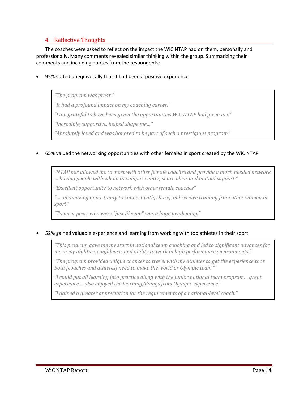#### <span id="page-13-0"></span>4. Reflective Thoughts

The coaches were asked to reflect on the impact the WiC NTAP had on them, personally and professionally. Many comments revealed similar thinking within the group. Summarizing their comments and including quotes from the respondents:

#### • 95% stated unequivocally that it had been a positive experience

*"The program was great."*

*"It had a profound impact on my coaching career."*

*"I am grateful to have been given the opportunities WiC NTAP had given me."*

*"Incredible, supportive, helped shape me…"*

*"Absolutely loved and was honored to be part of such a prestigious program"*

#### • 65% valued the networking opportunities with other females in sport created by the WiC NTAP

*"NTAP has allowed me to meet with other female coaches and provide a much needed network … having people with whom to compare notes, share ideas and mutual support."*

*"Excellent opportunity to network with other female coaches"*

*"… an amazing opportunity to connect with, share, and receive training from other women in sport"*

*"To meet peers who were "just like me" was a huge awakening."*

#### • 52% gained valuable experience and learning from working with top athletes in their sport

*"This program gave me my start in national team coaching and led to significant advances for me in my abilities, confidence, and ability to work in high performance environments."*

*"The program provided unique chances to travel with my athletes to get the experience that both [coaches and athletes] need to make the world or Olympic team."*

*"I could put all learning into practice along with the junior national team program… great experience ... also enjoyed the learning/doings from Olympic experience."*

*"I gained a greater appreciation for the requirements of a national-level coach."*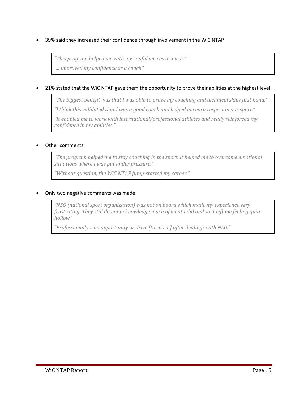• 39% said they increased their confidence through involvement in the WiC NTAP

*"This program helped me with my confidence as a coach."*

*… improved my confidence as a coach"*

#### • 21% stated that the WiC NTAP gave them the opportunity to prove their abilities at the highest level

*"The biggest benefit was that I was able to prove my coaching and technical skills first hand." "I think this validated that I was a good coach and helped me earn respect in our sport."*

*"It enabled me to work with international/professional athletes and really reinforced my confidence in my abilities."*

#### • Other comments:

*"The program helped me to stay coaching in the sport. It helped me to overcome emotional situations where I was put under pressure."*

*"Without question, the WiC NTAP jump-started my career."*

#### • Only two negative comments was made:

*"NSO (national sport organization) was not on board which made my experience very frustrating. They still do not acknowledge much of what I did and so it left me feeling quite hollow"*

*"Professionally… no opportunity or drive [to coach] after dealings with NSO."*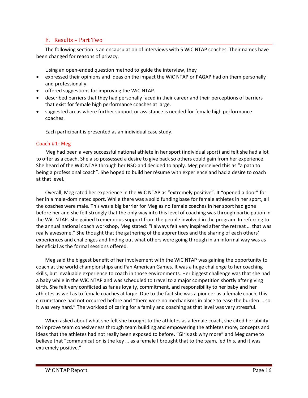#### <span id="page-15-0"></span>E. Results – Part Two

The following section is an encapsulation of interviews with 5 WiC NTAP coaches. Their names have been changed for reasons of privacy.

Using an open-ended question method to guide the interview, they

- expressed their opinions and ideas on the impact the WiC NTAP or PAGAP had on them personally and professionally.
- offered suggestions for improving the WiC NTAP.
- described barriers that they had personally faced in their career and their perceptions of barriers that exist for female high performance coaches at large.
- suggested areas where further support or assistance is needed for female high performance coaches.

Each participant is presented as an individual case study.

#### Coach #1: Meg

Meg had been a very successful national athlete in her sport (individual sport) and felt she had a lot to offer as a coach. She also possessed a desire to give back so others could gain from her experience. She heard of the WiC NTAP through her NSO and decided to apply. Meg perceived this as "a path to being a professional coach". She hoped to build her résumé with experience and had a desire to coach at that level.

Overall, Meg rated her experience in the WiC NTAP as "extremely positive". It "opened a door" for her in a male-dominated sport. While there was a solid funding base for female athletes in her sport, all the coaches were male. This was a big barrier for Meg as no female coaches in her sport had gone before her and she felt strongly that the only way into this level of coaching was through participation in the WiC NTAP. She gained tremendous support from the people involved in the program. In referring to the annual national coach workshop, Meg stated: "I always felt very inspired after the retreat … that was really awesome." She thought that the gathering of the apprentices and the sharing of each others' experiences and challenges and finding out what others were going through in an informal way was as beneficial as the formal sessions offered.

Meg said the biggest benefit of her involvement with the WiC NTAP was gaining the opportunity to coach at the world championships and Pan American Games. It was a huge challenge to her coaching skills, but invaluable experience to coach in those environments. Her biggest challenge was that she had a baby while in the WiC NTAP and was scheduled to travel to a major competition shortly after giving birth. She felt very conflicted as far as loyalty, commitment, and responsibility to her baby and her athletes as well as to female coaches at large. Due to the fact she was a pioneer as a female coach, this circumstance had not occurred before and "there were no mechanisms in place to ease the burden … so it was very hard." The workload of caring for a family and coaching at that level was very stressful.

When asked about what she felt she brought to the athletes as a female coach, she cited her ability to improve team cohesiveness through team building and empowering the athletes more, concepts and ideas that the athletes had not really been exposed to before. "Girls ask why more" and Meg came to believe that "communication is the key … as a female I brought that to the team, led this, and it was extremely positive."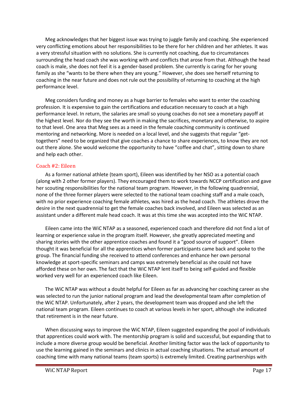Meg acknowledges that her biggest issue was trying to juggle family and coaching. She experienced very conflicting emotions about her responsibilities to be there for her children and her athletes. It was a very stressful situation with no solutions. She is currently not coaching, due to circumstances surrounding the head coach she was working with and conflicts that arose from that. Although the head coach is male, she does not feel it is a gender-based problem. She currently is caring for her young family as she "wants to be there when they are young." However, she does see herself returning to coaching in the near future and does not rule out the possibility of returning to coaching at the high performance level.

Meg considers funding and money as a huge barrier to females who want to enter the coaching profession. It is expensive to gain the certifications and education necessary to coach at a high performance level. In return, the salaries are small so young coaches do not see a monetary payoff at the highest level. Nor do they see the worth in making the sacrifices, monetary and otherwise, to aspire to that level. One area that Meg sees as a need in the female coaching community is continued mentoring and networking. More is needed on a local level, and she suggests that regular "gettogethers" need to be organized that give coaches a chance to share experiences, to know they are not out there alone. She would welcome the opportunity to have "coffee and chat", sitting down to share and help each other.

#### Coach #2: Eileen

As a former national athlete (team sport), Eileen was identified by her NSO as a potential coach (along with 2 other former players). They encouraged them to work towards NCCP certification and gave her scouting responsibilities for the national team program. However, in the following quadrennial, none of the three former players were selected to the national team coaching staff and a male coach, with no prior experience coaching female athletes, was hired as the head coach. The athletes drove the desire in the next quadrennial to get the female coaches back involved, and Eileen was selected as an assistant under a different male head coach. It was at this time she was accepted into the WiC NTAP.

Eileen came into the WiC NTAP as a seasoned, experienced coach and therefore did not find a lot of learning or experience value in the program itself. However, she greatly appreciated meeting and sharing stories with the other apprentice coaches and found it a "good source of support". Eileen thought it was beneficial for all the apprentices when former participants came back and spoke to the group. The financial funding she received to attend conferences and enhance her own personal knowledge at sport-specific seminars and camps was extremely beneficial as she could not have afforded these on her own. The fact that the WiC NTAP lent itself to being self-guided and flexible worked very well for an experienced coach like Eileen.

The WiC NTAP was without a doubt helpful for Eileen as far as advancing her coaching career as she was selected to run the junior national program and lead the developmental team after completion of the WiC NTAP. Unfortunately, after 2 years, the development team was dropped and she left the national team program. Eileen continues to coach at various levels in her sport, although she indicated that retirement is in the near future.

When discussing ways to improve the WiC NTAP, Eileen suggested expanding the pool of individuals that apprentices could work with. The mentorship program is solid and successful, but expanding that to include a more diverse group would be beneficial. Another limiting factor was the lack of opportunity to use the learning gained in the seminars and clinics in actual coaching situations. The actual amount of coaching time with many national teams (team sports) is extremely limited. Creating partnerships with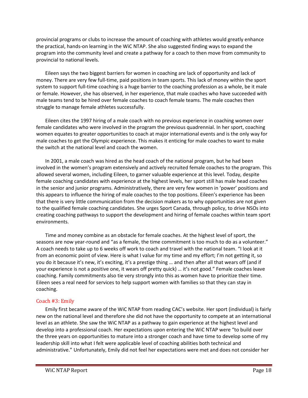provincial programs or clubs to increase the amount of coaching with athletes would greatly enhance the practical, hands-on learning in the WiC NTAP. She also suggested finding ways to expand the program into the community level and create a pathway for a coach to then move from community to provincial to national levels.

Eileen says the two biggest barriers for women in coaching are lack of opportunity and lack of money. There are very few full-time, paid positions in team sports. This lack of money within the sport system to support full-time coaching is a huge barrier to the coaching profession as a whole, be it male or female. However, she has observed, in her experience, that male coaches who have succeeded with male teams tend to be hired over female coaches to coach female teams. The male coaches then struggle to manage female athletes successfully.

Eileen cites the 1997 hiring of a male coach with no previous experience in coaching women over female candidates who were involved in the program the previous quadrennial. In her sport, coaching women equates to greater opportunities to coach at major international events and is the only way for male coaches to get the Olympic experience. This makes it enticing for male coaches to want to make the switch at the national level and coach the women.

In 2001, a male coach was hired as the head coach of the national program, but he had been involved in the women's program extensively and actively recruited female coaches to the program. This allowed several women, including Eileen, to garner valuable experience at this level. Today, despite female coaching candidates with experience at the highest levels, her sport still has male head coaches in the senior and junior programs. Administratively, there are very few women in 'power' positions and this appears to influence the hiring of male coaches to the top positions. Eileen's experience has been that there is very little communication from the decision makers as to why opportunities are not given to the qualified female coaching candidates. She urges Sport Canada, through policy, to drive NSOs into creating coaching pathways to support the development and hiring of female coaches within team sport environments.

Time and money combine as an obstacle for female coaches. At the highest level of sport, the seasons are now year-round and "as a female, the time commitment is too much to do as a volunteer." A coach needs to take up to 6 weeks off work to coach and travel with the national team. "I look at it from an economic point of view. Here is what I value for my time and my effort; I'm not getting it, so you do it because it's new, it's exciting, it's a prestige thing … and then after all that wears off (and if your experience is not a positive one, it wears off pretty quick) … it's not good." Female coaches leave coaching. Family commitments also tie very strongly into this as women have to prioritize their time. Eileen sees a real need for services to help support women with families so that they can stay in coaching.

#### Coach #3: Emily

Emily first became aware of the WiC NTAP from reading CAC's website. Her sport (individual) is fairly new on the national level and therefore she did not have the opportunity to compete at an international level as an athlete. She saw the WiC NTAP as a pathway to gain experience at the highest level and develop into a professional coach. Her expectations upon entering the WiC NTAP were "to build over the three years on opportunities to mature into a stronger coach and have time to develop some of my leadership skill into what I felt were applicable level of coaching abilities both technical and administrative." Unfortunately, Emily did not feel her expectations were met and does not consider her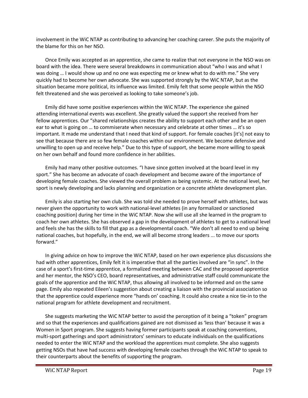involvement in the WiC NTAP as contributing to advancing her coaching career. She puts the majority of the blame for this on her NSO.

Once Emily was accepted as an apprentice, she came to realize that not everyone in the NSO was on board with the idea. There were several breakdowns in communication about "who I was and what I was doing … I would show up and no one was expecting me or knew what to do with me." She very quickly had to become her own advocate. She was supported strongly by the WiC NTAP, but as the situation became more political, its influence was limited. Emily felt that some people within the NSO felt threatened and she was perceived as looking to take someone's job.

Emily did have some positive experiences within the WiC NTAP. The experience she gained attending international events was excellent. She greatly valued the support she received from her fellow apprentices. Our "shared relationships creates the ability to support each other and be an open ear to what is going on … to commiserate when necessary and celebrate at other times … it's so important. It made me understand that I need that kind of support. For female coaches [it's] not easy to see that because there are so few female coaches within our environment. We become defensive and unwilling to open up and receive help." Due to this type of support, she became more willing to speak on her own behalf and found more confidence in her abilities.

Emily had many other positive outcomes. "I have since gotten involved at the board level in my sport." She has become an advocate of coach development and become aware of the importance of developing female coaches. She viewed the overall problem as being systemic. At the national level, her sport is newly developing and lacks planning and organization or a concrete athlete development plan.

Emily is also starting her own club. She was told she needed to prove herself with athletes, but was never given the opportunity to work with national-level athletes (in any formalized or sanctioned coaching position) during her time in the WiC NTAP. Now she will use all she learned in the program to coach her own athletes. She has observed a gap in the development of athletes to get to a national level and feels she has the skills to fill that gap as a developmental coach. "We don't all need to end up being national coaches, but hopefully, in the end, we will all become strong leaders ... to move our sports forward."

In giving advice on how to improve the WiC NTAP, based on her own experience plus discussions she had with other apprentices, Emily felt it is imperative that all the parties involved are "in sync". In the case of a sport's first-time apprentice, a formalized meeting between CAC and the proposed apprentice and her mentor, the NSO's CEO, board representatives, and administrative staff could communicate the goals of the apprentice and the WiC NTAP, thus allowing all involved to be informed and on the same page. Emily also repeated Eileen's suggestion about creating a liaison with the provincial association so that the apprentice could experience more "hands on' coaching. It could also create a nice tie-in to the national program for athlete development and recruitment.

She suggests marketing the WiC NTAP better to avoid the perception of it being a "token" program and so that the experiences and qualifications gained are not dismissed as 'less than' because it was a Women in Sport program. She suggests having former participants speak at coaching conventions, multi-sport gatherings and sport administrators' seminars to educate individuals on the qualifications needed to enter the WiC NTAP and the workload the apprentices must complete. She also suggests getting NSOs that have had success with developing female coaches through the WiC NTAP to speak to their counterparts about the benefits of supporting the program.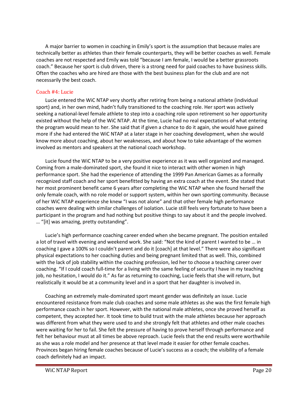A major barrier to women in coaching in Emily's sport is the assumption that because males are technically better as athletes than their female counterparts, they will be better coaches as well. Female coaches are not respected and Emily was told "because I am female, I would be a better grassroots coach." Because her sport is club driven, there is a strong need for paid coaches to have business skills. Often the coaches who are hired are those with the best business plan for the club and are not necessarily the best coach.

#### Coach #4: Lucie

Lucie entered the WiC NTAP very shortly after retiring from being a national athlete (individual sport) and, in her own mind, hadn't fully transitioned to the coaching role. Her sport was actively seeking a national-level female athlete to step into a coaching role upon retirement so her opportunity existed without the help of the WiC NTAP. At the time, Lucie had no real expectations of what entering the program would mean to her. She said that if given a chance to do it again, she would have gained more if she had entered the WiC NTAP at a later stage in her coaching development, when she would know more about coaching, about her weaknesses, and about how to take advantage of the women involved as mentors and speakers at the national coach workshop.

Lucie found the WiC NTAP to be a very positive experience as it was well organized and managed. Coming from a male-dominated sport, she found it nice to interact with other women in high performance sport. She had the experience of attending the 1999 Pan American Games as a formally recognized staff coach and her sport benefitted by having an extra coach at the event. She stated that her most prominent benefit came 6 years after completing the WiC NTAP when she found herself the only female coach, with no role model or support system, within her own sporting community. Because of her WiC NTAP experience she knew "I was not alone" and that other female high performance coaches were dealing with similar challenges of isolation. Lucie still feels very fortunate to have been a participant in the program and had nothing but positive things to say about it and the people involved. … "[it] was amazing, pretty outstanding".

Lucie's high performance coaching career ended when she became pregnant. The position entailed a lot of travel with evening and weekend work. She said: "Not the kind of parent I wanted to be … in coaching I gave a 100% so I couldn't parent and do it [coach] at that level." There were also significant physical expectations to her coaching duties and being pregnant limited that as well. This, combined with the lack of job stability within the coaching profession, led her to choose a teaching career over coaching. "If I could coach full-time for a living with the same feeling of security I have in my teaching job, no hesitation, I would do it." As far as returning to coaching, Lucie feels that she will return, but realistically it would be at a community level and in a sport that her daughter is involved in.

Coaching an extremely male-dominated sport meant gender was definitely an issue. Lucie encountered resistance from male club coaches and some male athletes as she was the first female high performance coach in her sport. However, with the national male athletes, once she proved herself as competent, they accepted her. It took time to build trust with the male athletes because her approach was different from what they were used to and she strongly felt that athletes and other male coaches were waiting for her to fail. She felt the pressure of having to prove herself through performance and felt her behaviour must at all times be above reproach. Lucie feels that the end results were worthwhile as she was a role model and her presence at that level made it easier for other female coaches. Provinces began hiring female coaches because of Lucie's success as a coach; the visibility of a female coach definitely had an impact.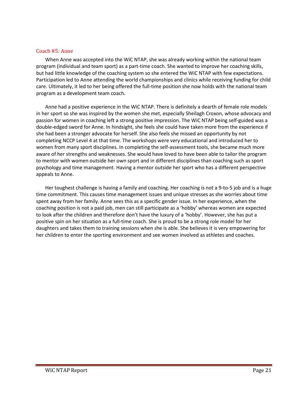#### Coach #5: Anne

When Anne was accepted into the WiC NTAP, she was already working within the national team program (individual and team sport) as a part-time coach. She wanted to improve her coaching skills, but had little knowledge of the coaching system so she entered the WiC NTAP with few expectations. Participation led to Anne attending the world championships and clinics while receiving funding for child care. Ultimately, it led to her being offered the full-time position she now holds with the national team program as a development team coach.

Anne had a positive experience in the WiC NTAP. There is definitely a dearth of female role models in her sport so she was inspired by the women she met, especially Sheilagh Croxon, whose advocacy and passion for women in coaching left a strong positive impression. The WiC NTAP being self-guided was a double-edged sword for Anne. In hindsight, she feels she could have taken more from the experience if she had been a stronger advocate for herself. She also feels she missed an opportunity by not completing NCCP Level 4 at that time. The workshops were very educational and introduced her to women from many sport disciplines. In completing the self-assessment tools, she became much more aware of her strengths and weaknesses. She would have loved to have been able to tailor the program to mentor with women outside her own sport and in different disciplines than coaching such as sport psychology and time management. Having a mentor outside her sport who has a different perspective appeals to Anne.

Her toughest challenge is having a family and coaching. Her coaching is not a 9-to-5 job and is a huge time commitment. This causes time management issues and unique stresses as she worries about time spent away from her family. Anne sees this as a specific gender issue. In her experience, when the coaching position is not a paid job, men can still participate as a 'hobby' whereas women are expected to look after the children and therefore don't have the luxury of a 'hobby'. However, she has put a positive spin on her situation as a full-time coach. She is proud to be a strong role model for her daughters and takes them to training sessions when she is able. She believes it is very empowering for her children to enter the sporting environment and see women involved as athletes and coaches.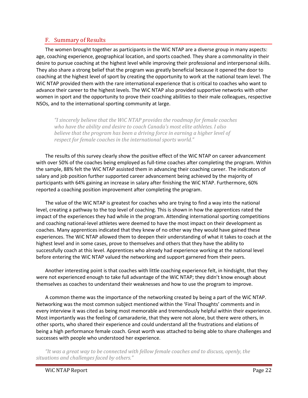#### <span id="page-21-0"></span>F. Summary of Results

The women brought together as participants in the WiC NTAP are a diverse group in many aspects: age, coaching experience, geographical location, and sports coached. They share a commonality in their desire to pursue coaching at the highest level while improving their professional and interpersonal skills. They also share a strong belief that the program was greatly beneficial because it opened the door to coaching at the highest level of sport by creating the opportunity to work at the national team level. The WiC NTAP provided them with the rare international experience that is critical to coaches who want to advance their career to the highest levels. The WiC NTAP also provided supportive networks with other women in sport and the opportunity to prove their coaching abilities to their male colleagues, respective NSOs, and to the international sporting community at large.

*"I sincerely believe that the WiC NTAP provides the roadmap for female coaches who have the ability and desire to coach Canada's most elite athletes. I also believe that the program has been a driving force in earning a higher level of respect for female coaches in the international sports world."*

The results of this survey clearly show the positive effect of the WiC NTAP on career advancement with over 50% of the coaches being employed as full-time coaches after completing the program. Within the sample, 88% felt the WiC NTAP assisted them in advancing their coaching career. The indicators of salary and job position further supported career advancement being achieved by the majority of participants with 64% gaining an increase in salary after finishing the WiC NTAP. Furthermore, 60% reported a coaching position improvement after completing the program.

The value of the WiC NTAP is greatest for coaches who are trying to find a way into the national level, creating a pathway to the top level of coaching. This is shown in how the apprentices rated the impact of the experiences they had while in the program. Attending international sporting competitions and coaching national-level athletes were deemed to have the most impact on their development as coaches. Many apprentices indicated that they knew of no other way they would have gained these experiences. The WiC NTAP allowed them to deepen their understanding of what it takes to coach at the highest level and in some cases, prove to themselves and others that they have the ability to successfully coach at this level. Apprentices who already had experience working at the national level before entering the WiC NTAP valued the networking and support garnered from their peers.

Another interesting point is that coaches with little coaching experience felt, in hindsight, that they were not experienced enough to take full advantage of the WiC NTAP; they didn't know enough about themselves as coaches to understand their weaknesses and how to use the program to improve.

A common theme was the importance of the networking created by being a part of the WiC NTAP. Networking was the most common subject mentioned within the 'Final Thoughts' comments and in every interview it was cited as being most memorable and tremendously helpful within their experience. Most importantly was the feeling of camaraderie, that they were not alone, but there were others, in other sports, who shared their experience and could understand all the frustrations and elations of being a high performance female coach. Great worth was attached to being able to share challenges and successes with people who understood her experience.

*"It was a great way to be connected with fellow female coaches and to discuss, openly, the situations and challenges faced by others."*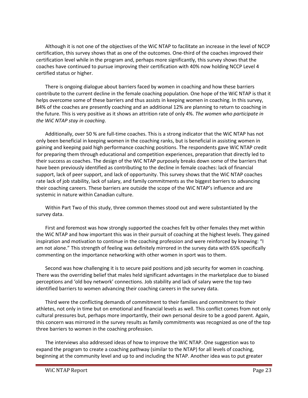Although it is not one of the objectives of the WiC NTAP to facilitate an increase in the level of NCCP certification, this survey shows that as one of the outcomes. One-third of the coaches improved their certification level while in the program and, perhaps more significantly, this survey shows that the coaches have continued to pursue improving their certification with 40% now holding NCCP Level 4 certified status or higher.

There is ongoing dialogue about barriers faced by women in coaching and how these barriers contribute to the current decline in the female coaching population. One hope of the WiC NTAP is that it helps overcome some of these barriers and thus assists in keeping women in coaching. In this survey, 84% of the coaches are presently coaching and an additional 12% are planning to return to coaching in the future. This is very positive as it shows an attrition rate of only 4%. *The women who participate in the WiC NTAP stay in coaching*.

Additionally, over 50 % are full-time coaches. This is a strong indicator that the WiC NTAP has not only been beneficial in keeping women in the coaching ranks, but is beneficial in assisting women in gaining and keeping paid high performance coaching positions. The respondents gave WiC NTAP credit for preparing them through educational and competition experiences, preparation that directly led to their success as coaches. The design of the WiC NTAP purposely breaks down some of the barriers that have been previously identified as contributing to the decline in female coaches: lack of financial support, lack of peer support, and lack of opportunity. This survey shows that the WiC NTAP coaches rate lack of job stability, lack of salary, and family commitments as the biggest barriers to advancing their coaching careers. These barriers are outside the scope of the WiC NTAP's influence and are systemic in nature within Canadian culture.

Within Part Two of this study, three common themes stood out and were substantiated by the survey data.

First and foremost was how strongly supported the coaches felt by other females they met within the WiC NTAP and how important this was in their pursuit of coaching at the highest levels. They gained inspiration and motivation to continue in the coaching profession and were reinforced by knowing: "I am not alone." This strength of feeling was definitely mirrored in the survey data with 65% specifically commenting on the importance networking with other women in sport was to them.

Second was how challenging it is to secure paid positions and job security for women in coaching. There was the overriding belief that males held significant advantages in the marketplace due to biased perceptions and 'old boy network' connections. Job stability and lack of salary were the top two identified barriers to women advancing their coaching careers in the survey data.

Third were the conflicting demands of commitment to their families and commitment to their athletes, not only in time but on emotional and financial levels as well. This conflict comes from not only cultural pressures but, perhaps more importantly, their own personal desire to be a good parent. Again, this concern was mirrored in the survey results as family commitments was recognized as one of the top three barriers to women in the coaching profession.

The interviews also addressed ideas of how to improve the WiC NTAP. One suggestion was to expand the program to create a coaching pathway (similar to the NTAP) for all levels of coaching, beginning at the community level and up to and including the NTAP. Another idea was to put greater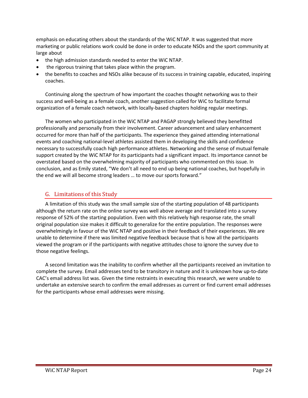emphasis on educating others about the standards of the WiC NTAP. It was suggested that more marketing or public relations work could be done in order to educate NSOs and the sport community at large about

- the high admission standards needed to enter the WiC NTAP.
- the rigorous training that takes place within the program.
- the benefits to coaches and NSOs alike because of its success in training capable, educated, inspiring coaches.

Continuing along the spectrum of how important the coaches thought networking was to their success and well-being as a female coach, another suggestion called for WiC to facilitate formal organization of a female coach network, with locally-based chapters holding regular meetings.

The women who participated in the WiC NTAP and PAGAP strongly believed they benefitted professionally and personally from their involvement. Career advancement and salary enhancement occurred for more than half of the participants. The experience they gained attending international events and coaching national-level athletes assisted them in developing the skills and confidence necessary to successfully coach high performance athletes. Networking and the sense of mutual female support created by the WiC NTAP for its participants had a significant impact. Its importance cannot be overstated based on the overwhelming majority of participants who commented on this issue. In conclusion, and as Emily stated, "We don't all need to end up being national coaches, but hopefully in the end we will all become strong leaders … to move our sports forward."

#### <span id="page-23-0"></span>G. Limitations of this Study

A limitation of this study was the small sample size of the starting population of 48 participants although the return rate on the online survey was well above average and translated into a survey response of 52% of the starting population. Even with this relatively high response rate, the small original population size makes it difficult to generalize for the entire population. The responses were overwhelmingly in favour of the WiC NTAP and positive in their feedback of their experiences. We are unable to determine if there was limited negative feedback because that is how all the participants viewed the program or if the participants with negative attitudes chose to ignore the survey due to those negative feelings.

A second limitation was the inability to confirm whether all the participants received an invitation to complete the survey. Email addresses tend to be transitory in nature and it is unknown how up-to-date CAC's email address list was. Given the time restraints in executing this research, we were unable to undertake an extensive search to confirm the email addresses as current or find current email addresses for the participants whose email addresses were missing.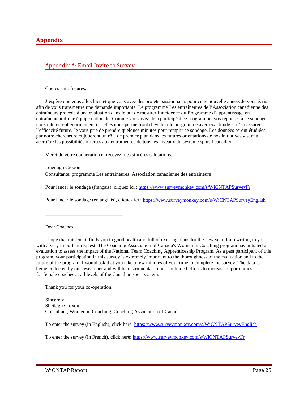#### <span id="page-24-1"></span><span id="page-24-0"></span>Appendix A: Email Invite to Survey

Chères entraîneures,

J'espère que vous allez bien et que vous avez des projets passionnants pour cette nouvelle année. Je vous écris afin de vous transmettre une demande importante. Le programme Les entraîneures de l'Association canadienne des entraîneurs procède à une évaluation dans le but de mesurer l'incidence du Programme d'apprentissage en entraînement d'une équipe nationale. Comme vous avez déjà participé à ce programme, vos réponses à ce sondage nous intéressent énormément car elles nous permettront d'évaluer le programme avec exactitude et d'en assurer l'efficacité future. Je vous prie de prendre quelques minutes pour remplir ce sondage. Les données seront étudiées par notre chercheure et joueront un rôle de premier plan dans les futures orientations de nos initiatives visant à accroître les possibilités offertes aux entraîneures de tous les niveaux du système sportif canadien.

Merci de votre coopération et recevez mes sincères salutations.

Sheilagh Croxon Consultante, programme Les entraîneures, Association canadienne des entraîneurs

Pour lancer le sondage (français), cliquez ici :<https://www.surveymonkey.com/s/WiCNTAPSurveyFr>

Pour lancer le sondage (en anglais), cliquez ici :<https://www.surveymonkey.com/s/WiCNTAPSurveyEnglish>

#### Dear Coaches,

I hope that this email finds you in good health and full of exciting plans for the new year. I am writing to you with a very important request. The Coaching Association of Canada's Women in Coaching program has initiated an evaluation to assess the impact of the National Team Coaching Apprenticeship Program. As a past participant of this program, your participation in this survey is extremely important to the thoroughness of the evaluation and to the future of the program. I would ask that you take a few minutes of your time to complete the survey. The data is being collected by our researcher and will be instrumental in our continued efforts to increase opportunities for female coaches at all levels of the Canadian sport system.

Thank you for your co-operation.

Sincerely, Sheilagh Croxon Consultant, Women in Coaching, Coaching Association of Canada

To enter the survey (in English), click here: <https://www.surveymonkey.com/s/WiCNTAPSurveyEnglish>

To enter the survey (in French), click here:<https://www.surveymonkey.com/s/WiCNTAPSurveyFr>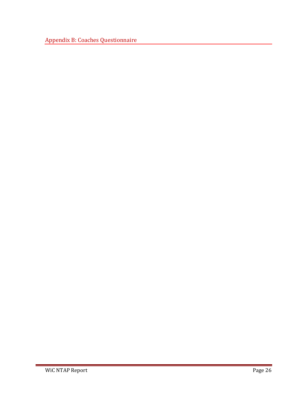<span id="page-25-0"></span>Appendix B: Coaches Questionnaire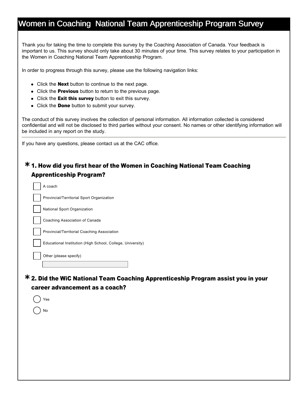Thank you for taking the time to complete this survey by the Coaching Association of Canada. Your feedback is important to us. This survey should only take about 30 minutes of your time. This survey relates to your participation in the Women in Coaching National Team Apprenticeship Program.

In order to progress through this survey, please use the following navigation links:

- $\bullet$  Click the **Next** button to continue to the next page.
- Click the **Previous** button to return to the previous page.
- Click the Exit this survey button to exit this survey.
- Click the **Done** button to submit your survey.

The conduct of this survey involves the collection of personal information. All information collected is considered confidential and will not be disclosed to third parties without your consent. No names or other identifying information will be included in any report on the study.

If you have any questions, please contact us at the CAC office.

### 1. How did you first hear of the Women in Coaching National Team Coaching **\*** Apprenticeship Program?

| A coach                                                    |
|------------------------------------------------------------|
| Provincial/Territorial Sport Organization                  |
| National Sport Organization                                |
| Coaching Association of Canada                             |
| Provincial/Territorial Coaching Association                |
| Educational Institution (High School, College, University) |
| Other (please specify)                                     |
|                                                            |

2. Did the WiC National Team Coaching Apprenticeship Program assist you in your **\*** career advancement as a coach?

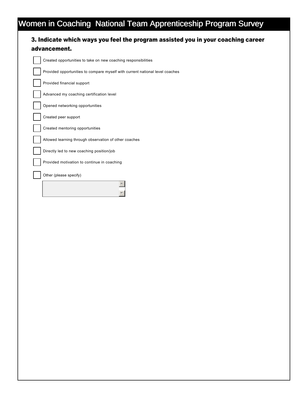| Created opportunities to take on new coaching responsibilities               |
|------------------------------------------------------------------------------|
| Provided opportunities to compare myself with current national level coaches |
| Provided financial support                                                   |
| Advanced my coaching certification level                                     |
| Opened networking opportunities                                              |
| Created peer support                                                         |
| Created mentoring opportunities                                              |
| Allowed learning through observation of other coaches                        |
| Directly led to new coaching position/job                                    |
| Provided motivation to continue in coaching                                  |
| Other (please specify)                                                       |
|                                                                              |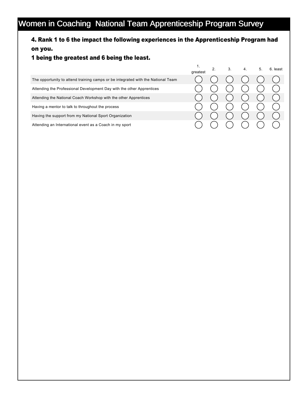### 4. Rank 1 to 6 the impact the following experiences in the Apprenticeship Program had on you.

### 1 being the greatest and 6 being the least.

|                                                                                  | greatest | 3. |  | 6. least |
|----------------------------------------------------------------------------------|----------|----|--|----------|
| The opportunity to attend training camps or be integrated with the National Team |          |    |  |          |
| Attending the Professional Development Day with the other Apprentices            |          |    |  |          |
| Attending the National Coach Workshop with the other Apprentices                 |          |    |  |          |
| Having a mentor to talk to throughout the process                                |          |    |  |          |
| Having the support from my National Sport Organization                           |          |    |  |          |
| Attending an International event as a Coach in my sport                          |          |    |  |          |

1.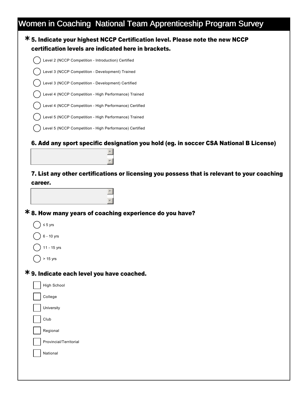| <b>*5. Indicate your highest NCCP Certification level. Please note the new NCCP</b><br>certification levels are indicated here in brackets. |
|---------------------------------------------------------------------------------------------------------------------------------------------|
| Level 2 (NCCP Competition - Introduction) Certified                                                                                         |
| Level 3 (NCCP Competition - Development) Trained                                                                                            |
| Level 3 (NCCP Competition - Development) Certified                                                                                          |
| Level 4 (NCCP Competition - High Performance) Trained                                                                                       |
| Level 4 (NCCP Competition - High Performance) Certified                                                                                     |
| Level 5 (NCCP Competition - High Performance) Trained                                                                                       |
| Level 5 (NCCP Competition - High Performance) Certified                                                                                     |
| 6. Add any sport specific designation you hold (eg. in soccer CSA National B License)                                                       |
| 7. List any other certifications or licensing you possess that is relevant to your coaching<br>career.                                      |
|                                                                                                                                             |
| <b>*8. How many years of coaching experience do you have?</b>                                                                               |
| $\leq 5$ yrs                                                                                                                                |
|                                                                                                                                             |
| 6 - 10 yrs                                                                                                                                  |
| 11 - 15 yrs                                                                                                                                 |
| $( )$ > 15 yrs                                                                                                                              |
|                                                                                                                                             |
| * 9. Indicate each level you have coached.<br><b>High School</b>                                                                            |
| College                                                                                                                                     |
| University                                                                                                                                  |
| Club                                                                                                                                        |
| Regional                                                                                                                                    |
| Provincial/Territorial                                                                                                                      |
| National                                                                                                                                    |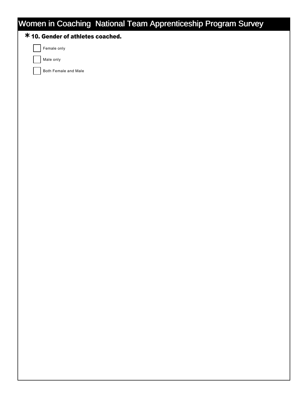### **\***10. Gender of athletes coached.

Female only

Male only

Both Female and Male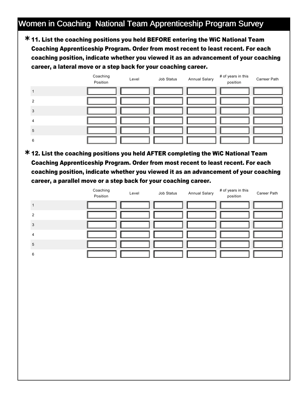11. List the coaching positions you held BEFORE entering the WiC National Team **\*** Coaching Apprenticeship Program. Order from most recent to least recent. For each coaching position, indicate whether you viewed it as an advancement of your coaching career, a lateral move or a step back for your coaching career.



12. List the coaching positions you held AFTER completing the WiC National Team **\*** Coaching Apprenticeship Program. Order from most recent to least recent. For each coaching position, indicate whether you viewed it as an advancement of your coaching career, a parallel move or a step back for your coaching career.

|   | Coaching<br>Position | Level | Job Status | <b>Annual Salary</b> | # of years in this<br>position | Career Path |
|---|----------------------|-------|------------|----------------------|--------------------------------|-------------|
|   |                      |       |            |                      |                                |             |
| ာ |                      |       |            |                      |                                |             |
| 3 |                      |       |            |                      |                                |             |
|   |                      |       |            |                      |                                |             |
| 5 |                      |       |            |                      |                                |             |
| 6 |                      |       |            |                      |                                |             |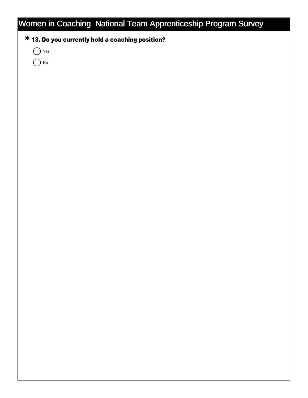### **\***13. Do you currently hold a coaching position?

 $\bigcap$  Yes

 $()$  No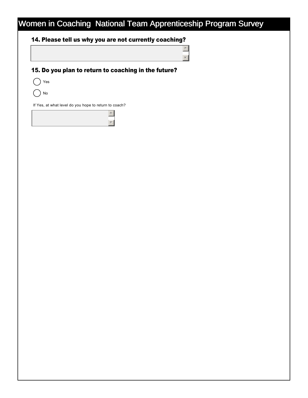### 14. Please tell us why you are not currently coaching?

### 15. Do you plan to return to coaching in the future?

 $\boxed{\triangle}$  $\overline{z}$ 

 $()$  Yes

No

If Yes, at what level do you hope to return to coach?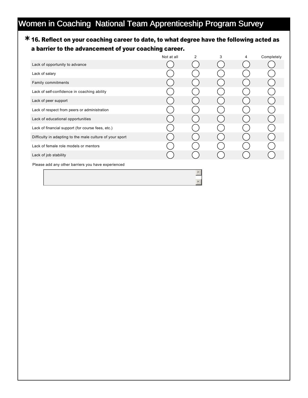### 16. Reflect on your coaching career to date, to what degree have the following acted as **\*** a barrier to the advancement of your coaching career.

|                                                          | Not at all | $\mathcal{P}$ | 3 | 4 | Completely |
|----------------------------------------------------------|------------|---------------|---|---|------------|
| Lack of opportunity to advance                           |            |               |   |   |            |
| Lack of salary                                           |            |               |   |   |            |
| Family commitments                                       |            |               |   |   |            |
| Lack of self-confidence in coaching ability              |            |               |   |   |            |
| Lack of peer support                                     |            |               |   |   |            |
| Lack of respect from peers or administration             |            |               |   |   |            |
| Lack of educational opportunities                        |            |               |   |   |            |
| Lack of financial support (for course fees, etc.)        |            |               |   |   |            |
| Difficulty in adapting to the male culture of your sport |            |               |   |   |            |
| Lack of female role models or mentors                    |            |               |   |   |            |
| Lack of job stability                                    |            |               |   |   |            |
| Please add any other barriers you have experienced       |            |               |   |   |            |
|                                                          |            |               |   |   |            |

 $\overline{\mathbf{v}}$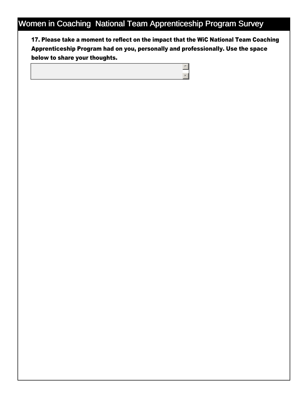17. Please take a moment to reflect on the impact that the WiC National Team Coaching Apprenticeship Program had on you, personally and professionally. Use the space below to share your thoughts.

> $\boxed{\blacktriangle}$ 6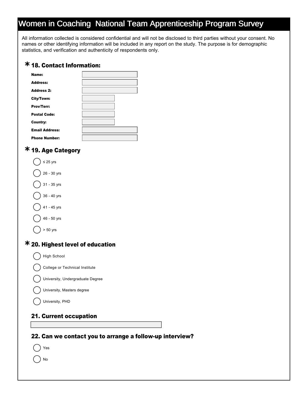All information collected is considered confidential and will not be disclosed to third parties without your consent. No names or other identifying information will be included in any report on the study. The purpose is for demographic statistics, and verification and authenticity of respondents only.

### 18. Contact Information: **\***

| Name:                 |  |
|-----------------------|--|
| <b>Address:</b>       |  |
| <b>Address 2:</b>     |  |
| City/Town:            |  |
| Prov/Terr:            |  |
| <b>Postal Code:</b>   |  |
| Country:              |  |
| <b>Email Address:</b> |  |
| <b>Phone Number:</b>  |  |

### 19. Age Category **\***

) No

| $\leq$ 25 yrs                           |  |
|-----------------------------------------|--|
| 26 - 30 yrs                             |  |
| 31 - 35 yrs                             |  |
| 36 - 40 yrs                             |  |
| 41 - 45 yrs                             |  |
| 46 - 50 yrs                             |  |
| $> 50$ yrs                              |  |
| <b>* 20. Highest level of education</b> |  |
| <b>High School</b>                      |  |
| College or Technical Institute          |  |
| University, Undergraduate Degree        |  |
| University, Masters degree              |  |
| University, PHD                         |  |
| <b>21. Current occupation</b>           |  |
|                                         |  |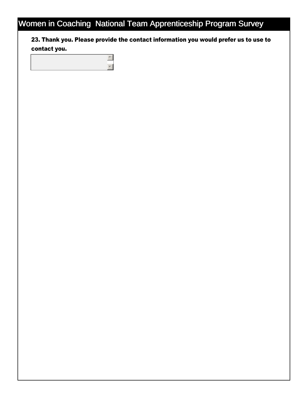23. Thank you. Please provide the contact information you would prefer us to use to contact you.

 $\left| \triangle \right|$  $\overline{\phantom{a}}$